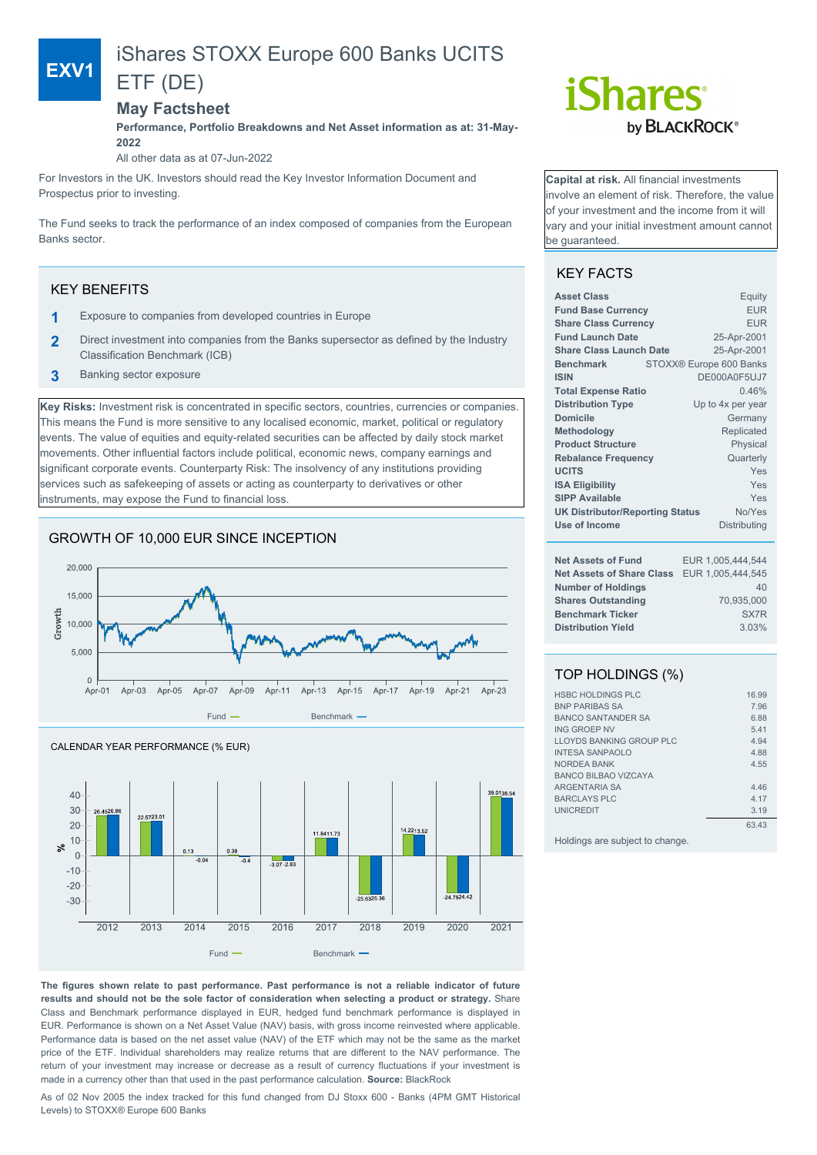# iShares STOXX Europe 600 Banks UCITS

## ETF (DE)

## **May Factsheet**

**Performance, Portfolio Breakdowns and Net Asset information as at: 31-May-2022**

All other data as at 07-Jun-2022

For Investors in the UK. Investors should read the Key Investor Information Document and Prospectus prior to investing.

The Fund seeks to track the performance of an index composed of companies from the European Banks sector.

## KEY BENEFITS

**EXV1**

- **1** Exposure to companies from developed countries in Europe
- **2** Direct investment into companies from the Banks supersector as defined by the Industry Classification Benchmark (ICB)
- **3** Banking sector exposure

**Key Risks:** Investment risk is concentrated in specific sectors, countries, currencies or companies. This means the Fund is more sensitive to any localised economic, market, political or regulatory events. The value of equities and equity-related securities can be affected by daily stock market movements. Other influential factors include political, economic news, company earnings and significant corporate events. Counterparty Risk: The insolvency of any institutions providing services such as safekeeping of assets or acting as counterparty to derivatives or other instruments, may expose the Fund to financial loss.

## GROWTH OF 10,000 EUR SINCE INCEPTION





# *iShares* by **BLACKROCK**®

**Capital at risk.** All financial investments involve an element of risk. Therefore, the value of your investment and the income from it will vary and your initial investment amount cannot be guaranteed.

## KEY FACTS

| <b>Asset Class</b>                               | Equity                  |  |  |  |
|--------------------------------------------------|-------------------------|--|--|--|
| <b>Fund Base Currency</b>                        | <b>FUR</b>              |  |  |  |
| <b>Share Class Currency</b>                      | <b>EUR</b>              |  |  |  |
| <b>Fund Launch Date</b>                          | 25-Apr-2001             |  |  |  |
| <b>Share Class Launch Date</b>                   | 25-Apr-2001             |  |  |  |
| <b>Benchmark</b>                                 | STOXX® Europe 600 Banks |  |  |  |
| <b>ISIN</b>                                      | DE000A0F5UJ7            |  |  |  |
| <b>Total Expense Ratio</b>                       | 0.46%                   |  |  |  |
| <b>Distribution Type</b>                         | Up to 4x per year       |  |  |  |
| Domicile                                         | Germany                 |  |  |  |
| Methodology                                      | Replicated              |  |  |  |
| <b>Product Structure</b>                         | Physical                |  |  |  |
| <b>Rebalance Frequency</b>                       | Quarterly               |  |  |  |
| <b>UCITS</b><br>Yes                              |                         |  |  |  |
| <b>ISA Eligibility</b><br>Yes                    |                         |  |  |  |
| <b>SIPP Available</b>                            | Yes                     |  |  |  |
| No/Yes<br><b>UK Distributor/Reporting Status</b> |                         |  |  |  |
| Use of Income                                    | <b>Distributing</b>     |  |  |  |
| <b>Net Assets of Fund</b>                        | EUR 1,005,444,544       |  |  |  |
| <b>Net Assets of Share Class</b>                 | EUR 1,005,444,545       |  |  |  |
| <b>Number of Holdings</b>                        | 40                      |  |  |  |
| <b>Shares Outstanding</b>                        | 70,935,000              |  |  |  |
| <b>Benchmark Ticker</b>                          | SX7 <sub>R</sub>        |  |  |  |
| <b>Distribution Yield</b>                        | 3.03%                   |  |  |  |
|                                                  |                         |  |  |  |

## TOP HOLDINGS (%)

| <b>HSBC HOLDINGS PLC</b>        | 16.99 |
|---------------------------------|-------|
| <b>BNP PARIBAS SA</b>           | 7.96  |
| <b>BANCO SANTANDER SA</b>       | 6.88  |
| ING GROFP NV                    | 5.41  |
| LLOYDS BANKING GROUP PLC        | 4.94  |
| <b>INTESA SANPAOLO</b>          | 4.88  |
| <b>NORDEA BANK</b>              | 4.55  |
| <b>BANCO BILBAO VIZCAYA</b>     |       |
| <b>ARGENTARIA SA</b>            | 4.46  |
| <b>BARCLAYS PLC</b>             | 4.17  |
| <b>UNICREDIT</b>                | 3.19  |
|                                 | 63.43 |
| Holdings are subject to change. |       |

**The figures shown relate to past performance. Past performance is not a reliable indicator of future results and should not be the sole factor of consideration when selecting a product or strategy.** Share Class and Benchmark performance displayed in EUR, hedged fund benchmark performance is displayed in EUR. Performance is shown on a Net Asset Value (NAV) basis, with gross income reinvested where applicable. Performance data is based on the net asset value (NAV) of the ETF which may not be the same as the market price of the ETF. Individual shareholders may realize returns that are different to the NAV performance. The return of your investment may increase or decrease as a result of currency fluctuations if your investment is made in a currency other than that used in the past performance calculation. **Source:** BlackRock

As of 02 Nov 2005 the index tracked for this fund changed from DJ Stoxx 600 - Banks (4PM GMT Historical Levels) to STOXX® Europe 600 Banks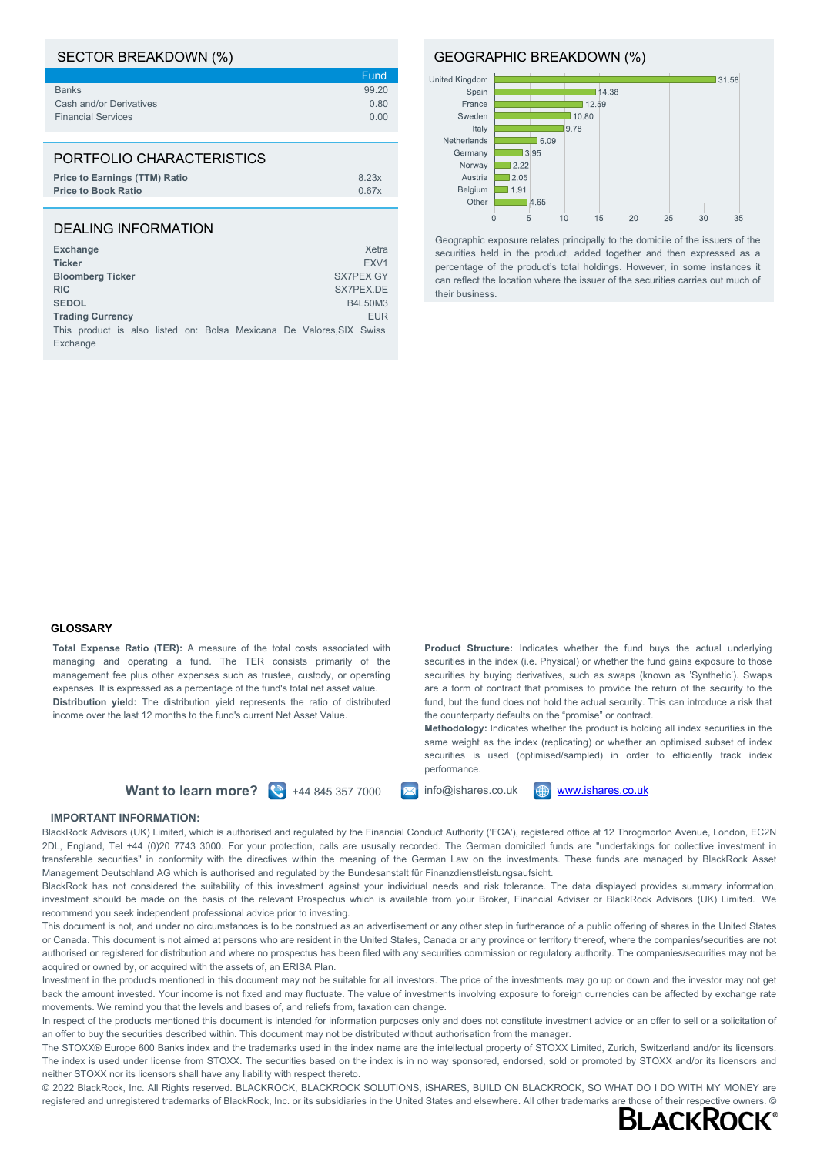| SECTOR BREAKDOWN (%)                 |       |
|--------------------------------------|-------|
|                                      | Fund  |
| <b>Banks</b>                         | 99.20 |
| Cash and/or Derivatives              | 0.80  |
| <b>Financial Services</b>            | 0.00  |
|                                      |       |
| PORTFOLIO CHARACTERISTICS            |       |
| <b>Price to Earnings (TTM) Ratio</b> | 8.23x |
| <b>Price to Book Ratio</b>           | 0.67x |

### DEALING INFORMATION

| <b>Exchange</b>                                                                  | Xetra            |
|----------------------------------------------------------------------------------|------------------|
| <b>Ticker</b>                                                                    | FXV <sub>1</sub> |
| <b>Bloomberg Ticker</b>                                                          | SX7PEX GY        |
| <b>RIC</b>                                                                       | SX7PEX.DE        |
| <b>SEDOL</b>                                                                     | B4L50M3          |
| <b>Trading Currency</b>                                                          | <b>EUR</b>       |
| This product is also listed on: Bolsa Mexicana De Valores, SIX Swiss<br>Exchange |                  |

GEOGRAPHIC BREAKDOWN (%)



Geographic exposure relates principally to the domicile of the issuers of the securities held in the product, added together and then expressed as a percentage of the product's total holdings. However, in some instances it can reflect the location where the issuer of the securities carries out much of their business.

#### **GLOSSARY**

**Total Expense Ratio (TER):** A measure of the total costs associated with managing and operating a fund. The TER consists primarily of the management fee plus other expenses such as trustee, custody, or operating expenses. It is expressed as a percentage of the fund's total net asset value. **Distribution yield:** The distribution yield represents the ratio of distributed income over the last 12 months to the fund's current Net Asset Value.

**Product Structure:** Indicates whether the fund buys the actual underlying securities in the index (i.e. Physical) or whether the fund gains exposure to those securities by buying derivatives, such as swaps (known as 'Synthetic'). Swaps are a form of contract that promises to provide the return of the security to the fund, but the fund does not hold the actual security. This can introduce a risk that the counterparty defaults on the "promise" or contract.

**Methodology:** Indicates whether the product is holding all index securities in the same weight as the index (replicating) or whether an optimised subset of index securities is used (optimised/sampled) in order to efficiently track index performance.

**Want to learn more?**  $\left(\frac{8}{3}\right)$  +44 845 357 7000  $\left(\frac{1}{2}\right)$  info@ishares.co.uk  $\left(\frac{4}{2}\right)$  [www.ishares.co.uk](http://www.ishares.co.uk)



#### **IMPORTANT INFORMATION:**

BlackRock Advisors (UK) Limited, which is authorised and regulated by the Financial Conduct Authority ('FCA'), registered office at 12 Throgmorton Avenue, London, EC2N 2DL, England, Tel +44 (0)20 7743 3000. For your protection, calls are ususally recorded. The German domiciled funds are "undertakings for collective investment in transferable securities" in conformity with the directives within the meaning of the German Law on the investments. These funds are managed by BlackRock Asset Management Deutschland AG which is authorised and regulated by the Bundesanstalt für Finanzdienstleistungsaufsicht.

BlackRock has not considered the suitability of this investment against your individual needs and risk tolerance. The data displayed provides summary information, investment should be made on the basis of the relevant Prospectus which is available from your Broker, Financial Adviser or BlackRock Advisors (UK) Limited. We recommend you seek independent professional advice prior to investing.

This document is not, and under no circumstances is to be construed as an advertisement or any other step in furtherance of a public offering of shares in the United States or Canada. This document is not aimed at persons who are resident in the United States, Canada or any province or territory thereof, where the companies/securities are not authorised or registered for distribution and where no prospectus has been filed with any securities commission or regulatory authority. The companies/securities may not be acquired or owned by, or acquired with the assets of, an ERISA Plan.

Investment in the products mentioned in this document may not be suitable for all investors. The price of the investments may go up or down and the investor may not get back the amount invested. Your income is not fixed and may fluctuate. The value of investments involving exposure to foreign currencies can be affected by exchange rate movements. We remind you that the levels and bases of, and reliefs from, taxation can change.

In respect of the products mentioned this document is intended for information purposes only and does not constitute investment advice or an offer to sell or a solicitation of an offer to buy the securities described within. This document may not be distributed without authorisation from the manager.

The STOXX® Europe 600 Banks index and the trademarks used in the index name are the intellectual property of STOXX Limited, Zurich, Switzerland and/or its licensors. The index is used under license from STOXX. The securities based on the index is in no way sponsored, endorsed, sold or promoted by STOXX and/or its licensors and neither STOXX nor its licensors shall have any liability with respect thereto.

© 2022 BlackRock, Inc. All Rights reserved. BLACKROCK, BLACKROCK SOLUTIONS, iSHARES, BUILD ON BLACKROCK, SO WHAT DO I DO WITH MY MONEY are registered and unregistered trademarks of BlackRock, Inc. or its subsidiaries in the United States and elsewhere. All other trademarks are those of their respective owners. ©<br>RI ACKROCK®